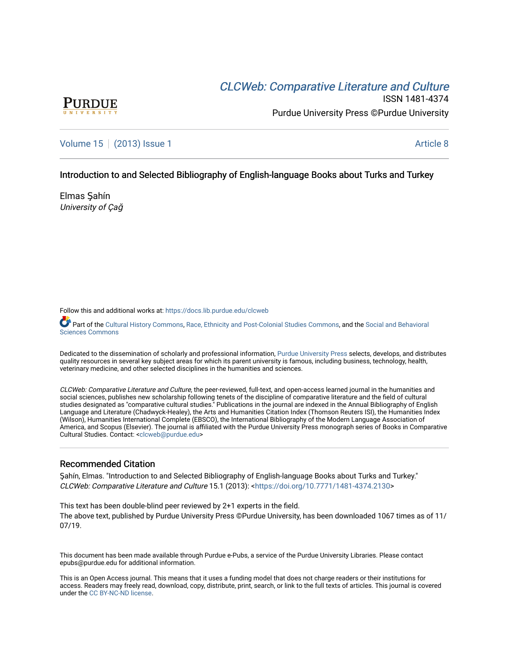# CLCW[eb: Comparative Liter](https://docs.lib.purdue.edu/clcweb)ature and Culture



ISSN 1481-4374 Purdue University Press ©Purdue University

[Volume 15](https://docs.lib.purdue.edu/clcweb/vol15) | [\(2013\) Issue 1](https://docs.lib.purdue.edu/clcweb/vol15/iss1) Article 8

## Introduction to and Selected Bibliography of English-language Books about Turks and Turkey

Elmas Şahín University of Çağ

Follow this and additional works at: [https://docs.lib.purdue.edu/clcweb](https://docs.lib.purdue.edu/clcweb?utm_source=docs.lib.purdue.edu%2Fclcweb%2Fvol15%2Fiss1%2F8&utm_medium=PDF&utm_campaign=PDFCoverPages)

Part of the [Cultural History Commons,](http://network.bepress.com/hgg/discipline/496?utm_source=docs.lib.purdue.edu%2Fclcweb%2Fvol15%2Fiss1%2F8&utm_medium=PDF&utm_campaign=PDFCoverPages) [Race, Ethnicity and Post-Colonial Studies Commons,](http://network.bepress.com/hgg/discipline/566?utm_source=docs.lib.purdue.edu%2Fclcweb%2Fvol15%2Fiss1%2F8&utm_medium=PDF&utm_campaign=PDFCoverPages) and the [Social and Behavioral](http://network.bepress.com/hgg/discipline/316?utm_source=docs.lib.purdue.edu%2Fclcweb%2Fvol15%2Fiss1%2F8&utm_medium=PDF&utm_campaign=PDFCoverPages) [Sciences Commons](http://network.bepress.com/hgg/discipline/316?utm_source=docs.lib.purdue.edu%2Fclcweb%2Fvol15%2Fiss1%2F8&utm_medium=PDF&utm_campaign=PDFCoverPages) 

Dedicated to the dissemination of scholarly and professional information, [Purdue University Press](http://www.thepress.purdue.edu/) selects, develops, and distributes quality resources in several key subject areas for which its parent university is famous, including business, technology, health, veterinary medicine, and other selected disciplines in the humanities and sciences.

CLCWeb: Comparative Literature and Culture, the peer-reviewed, full-text, and open-access learned journal in the humanities and social sciences, publishes new scholarship following tenets of the discipline of comparative literature and the field of cultural studies designated as "comparative cultural studies." Publications in the journal are indexed in the Annual Bibliography of English Language and Literature (Chadwyck-Healey), the Arts and Humanities Citation Index (Thomson Reuters ISI), the Humanities Index (Wilson), Humanities International Complete (EBSCO), the International Bibliography of the Modern Language Association of America, and Scopus (Elsevier). The journal is affiliated with the Purdue University Press monograph series of Books in Comparative Cultural Studies. Contact: [<clcweb@purdue.edu](mailto:clcweb@purdue.edu)>

## Recommended Citation

Şahín, Elmas. "Introduction to and Selected Bibliography of English-language Books about Turks and Turkey." CLCWeb: Comparative Literature and Culture 15.1 (2013): <[https://doi.org/10.7771/1481-4374.2130>](https://doi.org/10.7771/1481-4374.2130)

This text has been double-blind peer reviewed by 2+1 experts in the field. The above text, published by Purdue University Press ©Purdue University, has been downloaded 1067 times as of 11/ 07/19.

This document has been made available through Purdue e-Pubs, a service of the Purdue University Libraries. Please contact epubs@purdue.edu for additional information.

This is an Open Access journal. This means that it uses a funding model that does not charge readers or their institutions for access. Readers may freely read, download, copy, distribute, print, search, or link to the full texts of articles. This journal is covered under the [CC BY-NC-ND license.](https://creativecommons.org/licenses/by-nc-nd/4.0/)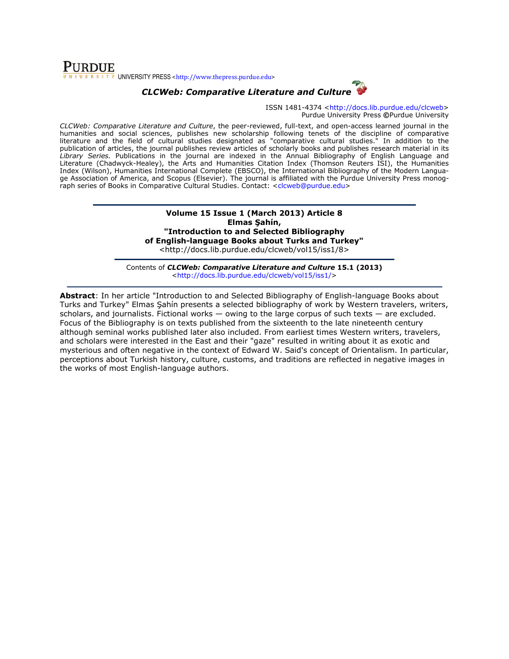## **PURDUE** UNIVERSITY PRESS <http://www.thepress.purdue.edu>

## CLCWeb: Comparative Literature and Culture



ISSN 1481-4374 <http://docs.lib.purdue.edu/clcweb> Purdue University Press ©Purdue University

CLCWeb: Comparative Literature and Culture, the peer-reviewed, full-text, and open-access learned journal in the humanities and social sciences, publishes new scholarship following tenets of the discipline of comparative literature and the field of cultural studies designated as "comparative cultural studies." In addition to the publication of articles, the journal publishes review articles of scholarly books and publishes research material in its Library Series. Publications in the journal are indexed in the Annual Bibliography of English Language and Literature (Chadwyck-Healey), the Arts and Humanities Citation Index (Thomson Reuters ISI), the Humanities Index (Wilson), Humanities International Complete (EBSCO), the International Bibliography of the Modern Language Association of America, and Scopus (Elsevier). The journal is affiliated with the Purdue University Press monograph series of Books in Comparative Cultural Studies. Contact: <clcweb@purdue.edu>

> Volume 15 Issue 1 (March 2013) Article 8 Elmas Sahín, "Introduction to and Selected Bibliography of English-language Books about Turks and Turkey" <http://docs.lib.purdue.edu/clcweb/vol15/iss1/8>

Contents of CLCWeb: Comparative Literature and Culture 15.1 (2013) <http://docs.lib.purdue.edu/clcweb/vol15/iss1/>

Abstract: In her article "Introduction to and Selected Bibliography of English-language Books about Turks and Turkey" Elmas Şahín presents a selected bibliography of work by Western travelers, writers, scholars, and journalists. Fictional works  $-$  owing to the large corpus of such texts  $-$  are excluded. Focus of the Bibliography is on texts published from the sixteenth to the late nineteenth century although seminal works published later also included. From earliest times Western writers, travelers, and scholars were interested in the East and their "gaze" resulted in writing about it as exotic and mysterious and often negative in the context of Edward W. Said's concept of Orientalism. In particular, perceptions about Turkish history, culture, customs, and traditions are reflected in negative images in the works of most English-language authors.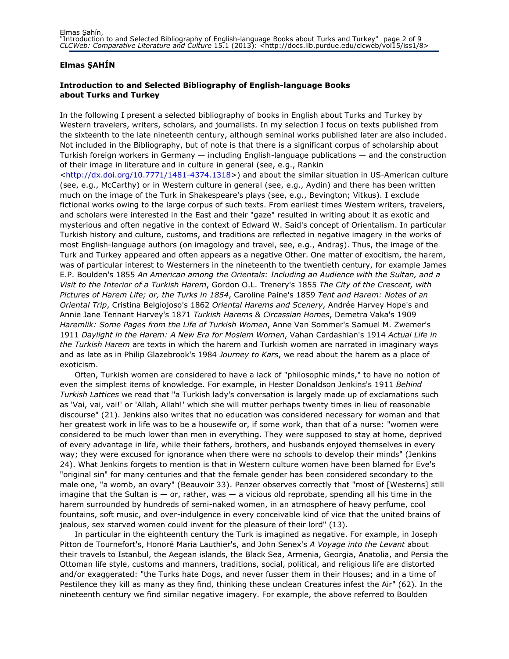## Elmas ŞAHÍN

## Introduction to and Selected Bibliography of English-language Books about Turks and Turkey

In the following I present a selected bibliography of books in English about Turks and Turkey by Western travelers, writers, scholars, and journalists. In my selection I focus on texts published from the sixteenth to the late nineteenth century, although seminal works published later are also included. Not included in the Bibliography, but of note is that there is a significant corpus of scholarship about Turkish foreign workers in Germany — including English-language publications — and the construction of their image in literature and in culture in general (see, e.g., Rankin <http://dx.doi.org/10.7771/1481-4374.1318>) and about the similar situation in US-American culture (see, e.g., McCarthy) or in Western culture in general (see, e.g., Aydin) and there has been written much on the image of the Turk in Shakespeare's plays (see, e.g., Bevington; Vitkus). I exclude fictional works owing to the large corpus of such texts. From earliest times Western writers, travelers, and scholars were interested in the East and their "gaze" resulted in writing about it as exotic and mysterious and often negative in the context of Edward W. Said's concept of Orientalism. In particular Turkish history and culture, customs, and traditions are reflected in negative imagery in the works of most English-language authors (on imagology and travel, see, e.g., Andraş). Thus, the image of the Turk and Turkey appeared and often appears as a negative Other. One matter of exocitism, the harem, was of particular interest to Westerners in the nineteenth to the twentieth century, for example James E.P. Boulden's 1855 An American among the Orientals: Including an Audience with the Sultan, and a Visit to the Interior of a Turkish Harem, Gordon O.L. Trenery's 1855 The City of the Crescent, with Pictures of Harem Life; or, the Turks in 1854, Caroline Paine's 1859 Tent and Harem: Notes of an Oriental Trip, Cristina Belgiojoso's 1862 Oriental Harems and Scenery, Andrée Harvey Hope's and Annie Jane Tennant Harvey's 1871 Turkish Harems & Circassian Homes, Demetra Vaka's 1909 Haremlik: Some Pages from the Life of Turkish Women, Anne Van Sommer's Samuel M. Zwemer's 1911 Daylight in the Harem: A New Era for Moslem Women, Vahan Cardashian's 1914 Actual Life in the Turkish Harem are texts in which the harem and Turkish women are narrated in imaginary ways and as late as in Philip Glazebrook's 1984 Journey to Kars, we read about the harem as a place of exoticism.

Often, Turkish women are considered to have a lack of "philosophic minds," to have no notion of even the simplest items of knowledge. For example, in Hester Donaldson Jenkins's 1911 Behind Turkish Lattices we read that "a Turkish lady's conversation is largely made up of exclamations such as 'Vai, vai, vai!' or 'Allah, Allah!' which she will mutter perhaps twenty times in lieu of reasonable discourse" (21). Jenkins also writes that no education was considered necessary for woman and that her greatest work in life was to be a housewife or, if some work, than that of a nurse: "women were considered to be much lower than men in everything. They were supposed to stay at home, deprived of every advantage in life, while their fathers, brothers, and husbands enjoyed themselves in every way; they were excused for ignorance when there were no schools to develop their minds" (Jenkins 24). What Jenkins forgets to mention is that in Western culture women have been blamed for Eve's "original sin" for many centuries and that the female gender has been considered secondary to the male one, "a womb, an ovary" (Beauvoir 33). Penzer observes correctly that "most of [Westerns] still imagine that the Sultan is  $-$  or, rather, was  $-$  a vicious old reprobate, spending all his time in the harem surrounded by hundreds of semi-naked women, in an atmosphere of heavy perfume, cool fountains, soft music, and over-indulgence in every conceivable kind of vice that the united brains of jealous, sex starved women could invent for the pleasure of their lord" (13).

In particular in the eighteenth century the Turk is imagined as negative. For example, in Joseph Pitton de Tournefort's, Honoré Maria Lauthier's, and John Senex's A Voyage into the Levant about their travels to Istanbul, the Aegean islands, the Black Sea, Armenia, Georgia, Anatolia, and Persia the Ottoman life style, customs and manners, traditions, social, political, and religious life are distorted and/or exaggerated: "the Turks hate Dogs, and never fusser them in their Houses; and in a time of Pestilence they kill as many as they find, thinking these unclean Creatures infest the Air" (62). In the nineteenth century we find similar negative imagery. For example, the above referred to Boulden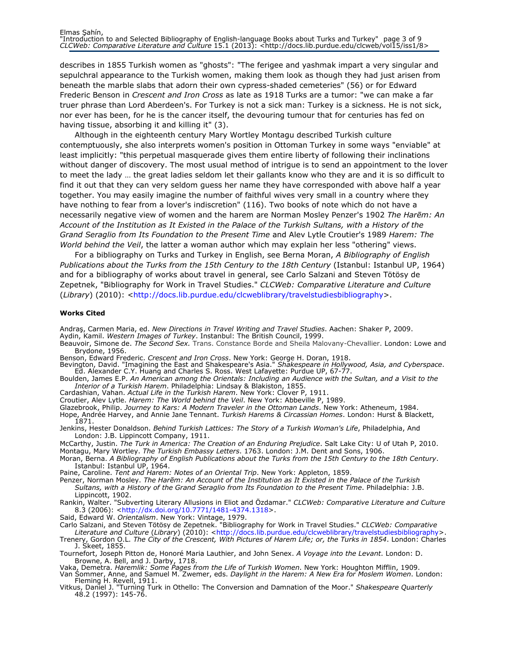describes in 1855 Turkish women as "ghosts": "The ferigee and yashmak impart a very singular and sepulchral appearance to the Turkish women, making them look as though they had just arisen from beneath the marble slabs that adorn their own cypress-shaded cemeteries" (56) or for Edward Frederic Benson in Crescent and Iron Cross as late as 1918 Turks are a tumor: "we can make a far truer phrase than Lord Aberdeen's. For Turkey is not a sick man: Turkey is a sickness. He is not sick, nor ever has been, for he is the cancer itself, the devouring tumour that for centuries has fed on having tissue, absorbing it and killing it" (3).

Although in the eighteenth century Mary Wortley Montagu described Turkish culture contemptuously, she also interprets women's position in Ottoman Turkey in some ways "enviable" at least implicitly: "this perpetual masquerade gives them entire liberty of following their inclinations without danger of discovery. The most usual method of intrigue is to send an appointment to the lover to meet the lady … the great ladies seldom let their gallants know who they are and it is so difficult to find it out that they can very seldom guess her name they have corresponded with above half a year together. You may easily imagine the number of faithful wives very small in a country where they have nothing to fear from a lover's indiscretion" (116). Two books of note which do not have a necessarily negative view of women and the harem are Norman Mosley Penzer's 1902 The Harem: An Account of the Institution as It Existed in the Palace of the Turkish Sultans, with a History of the Grand Seraglio from Its Foundation to the Present Time and Alev Lytle Croutier's 1989 Harem: The World behind the Veil, the latter a woman author which may explain her less "othering" views.

For a bibliography on Turks and Turkey in English, see Berna Moran, A Bibliography of English Publications about the Turks from the 15th Century to the 18th Century (Istanbul: Istanbul UP, 1964) and for a bibliography of works about travel in general, see Carlo Salzani and Steven Tötösy de Zepetnek, "Bibliography for Work in Travel Studies." CLCWeb: Comparative Literature and Culture (Library) (2010): <http://docs.lib.purdue.edu/clcweblibrary/travelstudiesbibliography>.

#### Works Cited

Andraş, Carmen Maria, ed. New Directions in Travel Writing and Travel Studies. Aachen: Shaker P, 2009. Aydin, Kamil. Western Images of Turkey. Instanbul: The British Council, 1999.

- Beauvoir, Simone de. The Second Sex. Trans. Constance Borde and Sheila Malovany-Chevallier. London: Lowe and Brydone, 1956.
- Benson, Edward Frederic. Crescent and Iron Cross. New York: George H. Doran, 1918.
- Bevington, David. "Imagining the East and Shakespeare's Asia." *Shakespeare in Hollywood, Asia, and Cyberspace*.<br>Ed. Alexander C.Y. Huang and Charles S. Ross. West Lafayette: Purdue UP, 67-77.
- Boulden, James E.P. An American among the Orientals: Including an Audience with the Sultan, and a Visit to the Interior of a Turkish Harem. Philadelphia: Lindsay & Blakiston, 1855.
- Cardashian, Vahan. Actual Life in the Turkish Harem. New York: Clover P, 1911.
- Croutier, Alev Lytle. Harem: The World behind the Veil. New York: Abbeville P, 1989.
- Glazebrook, Philip. Journey to Kars: A Modern Traveler in the Ottoman Lands. New York: Atheneum, 1984.
- Hope, Andrée Harvey, and Annie Jane Tennant. Turkish Harems & Circassian Homes. London: Hurst & Blackett, 1871.
- Jenkins, Hester Donaldson. Behind Turkish Lattices: The Story of a Turkish Woman's Life, Philadelphia, And London: J.B. Lippincott Company, 1911.
- McCarthy, Justin. The Turk in America: The Creation of an Enduring Prejudice. Salt Lake City: U of Utah P, 2010. Montagu, Mary Wortley. The Turkish Embassy Letters. 1763. London: J.M. Dent and Sons, 1906.
- Moran, Berna. A Bibliography of English Publications about the Turks from the 15th Century to the 18th Century. Istanbul: Istanbul UP, 1964.
- Paine, Caroline. Tent and Harem: Notes of an Oriental Trip. New York: Appleton, 1859.
- Penzer, Norman Mosley. The Harēm: An Account of the Institution as It Existed in the Palace of the Turkish Sultans, with a History of the Grand Seraglio from Its Foundation to the Present Time. Philadelphia: J.B. Lippincott, 1902.
- Rankin, Walter. "Subverting Literary Allusions in Eliot and Özdamar." CLCWeb: Comparative Literature and Culture 8.3 (2006): <http://dx.doi.org/10.7771/1481-4374.1318>.
- Said, Edward W. Orientalism. New York: Vintage, 1979.
- Carlo Salzani, and Steven Tötösy de Zepetnek. "Bibliography for Work in Travel Studies." CLCWeb: Comparative Literature and Culture (Library) (2010): <http://docs.lib.purdue.edu/clcweblibrary/travelstudiesbibliography>.
- Trenery, Gordon O.L. *The City of the Crescent, With Pictures of Harem Life; or, the Turks in 1854*. London: Charles<br>J. Skeet, 1855.
- Tournefort, Joseph Pitton de, Honoré Maria Lauthier, and John Senex. A Voyage into the Levant. London: D. Browne, A. Bell, and J. Darby, 1718.
- Vaka, Demetra. *Haremlik: Some Pages from the Life of Turkish Women*. New York: Houghton Mifflin, 1909. Van Sommer, Anne, and Samuel M. Zwemer, eds. Daylight in the Harem: A New Era for Moslem Women. London: Fleming H. Revell, 1911.
- Vitkus, Daniel J. "Turning Turk in Othello: The Conversion and Damnation of the Moor." *Shakespeare Quarterly* 48.2 (1997): 145-76.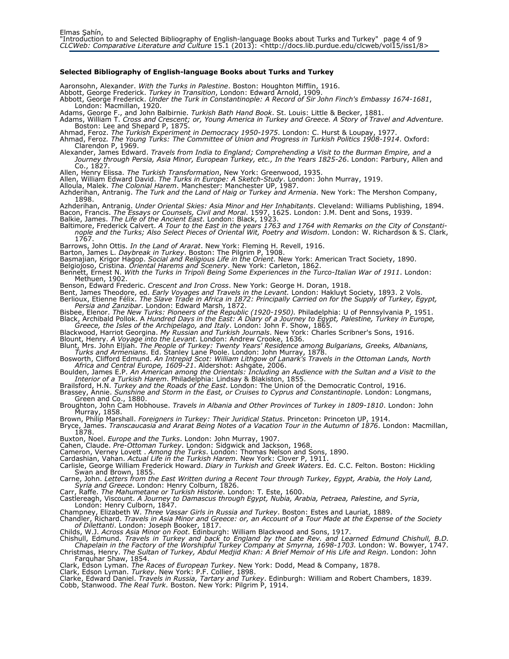### Selected Bibliography of English-language Books about Turks and Turkey

Aaronsohn, Alexander. With the Turks in Palestine. Boston: Houghton Mifflin, 1916.

Abbott, George Frederick. *Turkey in Transition*, London: Edward Arnold, 1909.

Abbott, George Frederick. Under the Turk in Constantinople: A Record of Sir John Finch's Embassy 1674-1681, London: Macmillan, 1920.

Adams, George F., and John Balbirnie. *Turkish Bath Hand Book*. St. Louis: Little & Becker, 1881.

Adams, William T. Cross and Crescent; or, Young America in Turkey and Greece. A Story of Travel and Adventure. Boston: Lee and Shepard P, 1875

Ahmad, Feroz. *The Turkish Experiment in Democracy 1950-1975*. London: C. Hurst & Loupay, 1977.

Ahmad, Feroz. The Young Turks: The Committee of Union and Progress in Turkish Politics 1908-1914. Oxford: Clarendon P, 1969.

Alexander, James Edward. Travels from India to England; Comprehending a Visit to the Burman Empire, and a Journey through Persia, Asia Minor, European Turkey, etc., In the Years 1825-26. London: Parbury, Allen and Co., 1827.

Allen, Henry Elissa. *The Turkish Transformation*, New York: Greenwood, 1935.

Allen, William Edward David. *The Turks in Europe: A Sketch-Study*. London: John Murray, 1919.<br>Alloula, Malek. *The Colonial Harem*. Manchester: Manchester UP, 1987.

Azhderihan, Antranig. *The Turk and the Land of Haig or Turkey and Armenia*. New York: The Mershon Company, 1898.

Azhderihan, Antranig. *Under Oriental Skies: Asia Minor and Her Inhabitants*. Cleveland: Williams Publishing, 1894. Bacon, Francis. *The Essays or Counsels, Civil and Moral*. 1597, 1625. London: J.M. Dent and Sons, 1939. Balkie, James. The Life of the Ancient East. London: Black, 1923.

Baltimore, Frederick Calvert. A Tour to the East in the years 1763 and 1764 with Remarks on the City of Constantinople and the Turks; Also Select Pieces of Oriental Wit, Poetry and Wisdom. London: W. Richardson & S. Clark, 1767.

Barrows, John Ottis. In the Land of Ararat. New York: Fleming H. Revell, 1916.

Barton, James L. Daybreak in Turkey. Boston: The Pilgrim P, 1908.

Basmajian, Krigor Hagop. *Social and Religious Life in the Orient*. New York: American Tract Society, 1890.

Belgiojoso, Cristina. Oriental Harems and Scenery. New York: Carleton, 1862.

Bennett, Ernest N. With the Turks in Tripoli Being Some Experiences in the Turco-Italian War of 1911. London: Methuen, 1902.

Benson, Edward Frederic. Crescent and Iron Cross. New York: George H. Doran, 1918.

Bent, James Theodore, ed. *Early Voyages and Travels in the Levant.* London: Hakluyt Society, 1893. 2 Vols. Berlioux, Etienne Félix. The Slave Trade in Africa in 1872: Principally Carried on for the Supply of Turkey, Egypt, Persia and Zanzibar. London: Edward Marsh, 1872.

Bisbee, Elenor. *The New Turks: Pioneers of the Republic (1920-1950).* Philadelphia: U of Pennsylvania P, 1951. Black, Archibald Pollok. A Hundred Days in the East: A Diary of a Journey to Egypt, Palestine, Turkey in Europe,<br>Greece, the Isles of the Archipelago, and Italy. London: John F. Show, 1865.

Blackwood, Harriot Georgina. *My Russian and Turkish Journals*. New York: Charles Scribner's Sons, 1916.

Blount, Henry. A Voyage into the Levant. London: Andrew Crooke, 1636.

Blunt, Mrs. John Eljiah. The People of Turkey: Twenty Years' Residence among Bulgarians, Greeks, Albanians, Turks and Armenians. Ed. Stanley Lane Poole. London: John Murray, 1878.

Bosworth, Clifford Edmund. An Intrepid Scot: William Lithgow of Lanark's Travels in the Ottoman Lands, North Africa and Central Europe, 1609-21. Aldershot: Ashgate, 2006.

Boulden, James E.P. An American among the Orientals: Including an Audience with the Sultan and a Visit to the

Interior of a Turkish Harem. Philadelphia: Lindsay & Blakiston, 1855.<br>Brailsford, H.N. *Turkey and the Roads of the East*. London: The Union of the Democratic Control, 1916.

Brassey, Annie. Sunshine and Storm in the East, or Cruises to Cyprus and Constantinople. London: Longmans, Green and Co., 1880.

Broughton, John Cam Hobhouse. Travels in Albania and Other Provinces of Turkey in 1809-1810. London: John Murray, 1858.

Brown, Philip Marshall. Foreigners in Turkey: Their Juridical Status. Princeton: Princeton UP, 1914.

James. Transcaucasia and Ararat Being Notes of a Vacation Tour in the Autumn of 1876. London: Macmillan, Bryce, Jam<br>.1878.

Buxton, Noel. Europe and the Turks. London: John Murray, 1907.

Cahen, Claude. Pre-Ottoman Turkey. London: Sidgwick and Jackson, 1968.

Cameron, Verney Lovett . Among the Turks. London: Thomas Nelson and Sons, 1890.

Cardashian, Vahan. Actual Life in the Turkish Harem. New York: Clover P, 1911

Carlisle, George William Frederick Howard. Diary in Turkish and Greek Waters. Ed. C.C. Felton. Boston: Hickling Swan and Brown, 1855.

Carne, John. Letters from the East Written during a Recent Tour through Turkey, Egypt, Arabia, the Holy Land, Syria and Greece. London: Henry Colburn, 1826.

Carr, Raffe. The Mahumetane or Turkish Historie. London: T. Este, 1600.

Castlereagh, Viscount. *A Journey to Damascus through Egypt, Nubia, Arabia, Petraea, Palestine, and Syria*,<br>London: Henry Culborn, 1847.

Champney, Elizabeth W. *Three Vassar Girls in Russia and Turkey*. Boston: Estes and Lauriat, 1889.

Chandler, Richard. Travels in Asia Minor and Greece: or, an Account of a Tour Made at the Expense of the Society of Dilettanti. London: Joseph Booker, 1817.

Childs, W.J. Across Asia Minor on Foot. Edinburgh: William Blackwood and Sons, 1917.

Chishull, Edmund. Travels in Turkey and back to England by the Late Rev. and Learned Edmund Chishull, B.D. Chapelain in the Factory of the Worshipful Turkey Company at Smyrna, 1698-1703. London: W. Bowyer, 1747.

Christmas, Henry. The Sultan of Turkey, Abdul Medjid Khan: A Brief Memoir of His Life and Reign. London: John Farquhar Shaw, 1854. Clark, Edson Lyman. *The Races of European Turkey*. New York: Dodd, Mead & Company, 1878.

Clark, Edson Lyman. *Turkey*. New York: P.F. Collier, 1898.

Clarke, Edward Daniel. *Travels in Russia, Tartary and Turkey*. Edinburgh: William and Robert Chambers, 1839. Cobb, Stanwood. The Real Turk. Boston. New York: Pilgrim P, 1914.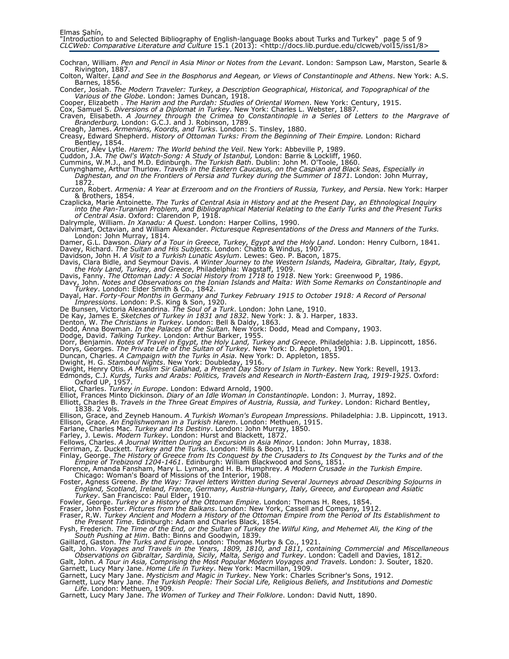- Cochran, William. Pen and Pencil in Asia Minor or Notes from the Levant. London: Sampson Law, Marston, Searle & Rivington, 1887.
- Colton, Walter. Land and See in the Bosphorus and Aegean, or Views of Constantinople and Athens. New York: A.S. Barnes, 1856.
- Conder, Josiah. The Modern Traveler: Turkey, a Description Geographical, Historical, and Topographical of the Various of the Globe. London: James Duncan, 1918.
- Cooper, Elizabeth . The Harim and the Purdah: Studies of Oriental Women. New York: Century, 1915.
- Cox, Samuel S. Diversions of a Diplomat in Turkey. New York: Charles L. Webster, 1887
- Craven, Elisabeth. A Journey through the Crimea to Constantinople in a Series of Letters to the Margrave of Branderburg. London: G.C.J. and J. Robinson, 1789.
- 
- Creagh, James. *Armenians, Koords, and Turks*. London: S. Tinsley, 1880.<br>Creasy, Edward Shepherd. *History of Ottoman Turks: From the Beginning of Their Empire.* London: Richard Bentley, 1854.
- Croutier, Alev Lytle. Harem: The World behind the Veil. New York: Abbeville P, 1989
- Cuddon, J.A. The Owl's Watch-Song: A Study of Istanbul, London: Barrie & Lockliff, 1960.
- Cummins, W.M.J., and M.D. Edinburgh. The Turkish Bath. Dublin: John M. O'Toole, 1860.
- Cunynghame, Arthur Thurlow. Travels in the Eastern Caucasus, on the Caspian and Black Seas, Especially in Daghestan, and on the Frontiers of Persia and Turkey during the Summer of 1871. London: John Murray,
	- 1872.
- Curzon, Robert. Armenia: A Year at Erzeroom and on the Frontiers of Russia, Turkey, and Persia. New York: Harper & Brothers, 1854.
- Czaplicka, Marie Antoinette. The Turks of Central Asia in History and at the Present Day, an Ethnological Inquiry into the Pan-Turanian Problem, and Bibliographical Material Relating to the Early Turks and the Present Turks of Central Asia. Oxford: Clarendon P, 1918.
- Dalrymple, William. *In Xanadu: A Quest*. London: Harper Collins, 1990.
- Dalvimart, Octavian, and William Alexander. Picturesque Representations of the Dress and Manners of the Turks. London: John Murray, 1814.
- Damer, G.L. Dawson. *Diary of a Tour in Greece, Turkey, Egypt and the Holy Land*. London: Henry Culborn, 1841. Davey, Richard. *The Sultan and His Subjects*. London: Chatto & Windus, 1907.
- Davidson, John H. A Visit to a Turkish Lunatic Asylum. Lewes: Geo. P. Bacon, 1875.
- Davis, Clara Bidle, and Seymour Davis. A Winter Journey to the Western Islands, Madeira, Gibraltar, Italy, Egypt, the Holy Land, Turkey, and Greece, Philadelphia: Wagstaff, 1909. Davis, Fanny. The Ottoman Lady: A Social History from 1718 to 1918. New York: Greenwood P, 1986.
- 
- Davy, John. Notes and Observations on the Ionian Islands and Malta: With Some Remarks on Constantinople and Turkey. London: Elder Smith & Co., 1842.
- Dayal, Har. Forty-Four Months in Germany and Turkey February 1915 to October 1918: A Record of Personal Impressions. London: P.S. King & Son, 1920.
- De Bunsen, Victoria Alexandrina. *The Soul of a Turk*. London: John Lane, 1910.
- De Kay, James E. Sketches of Turkey in 1831 and 1832. New York: J. & J. Harper, 1833.
- Denton, W. The Christians in Turkey. London: Bell & Daldy, 1863.
- Dodd, Anna Bowman. In the Palaces of the Sultan. New York: Dodd, Mead and Company, 1903.
- Dodge, David. Talking Turkey. London: Arthur Barker, 1955.
- Dorr, Benjamin. Notes of Travel in Egypt, the Holy Land, Turkey and Greece. Philadelphia: J.B. Lippincott, 1856.
- Dorys, Georges. The Private Life of the Sultan of Turkey. New York: D. Appleton, 1901.
- Duncan, Charles. A Campaign with the Turks in Asia. New York: D. Appleton, 1855.
- Dwight, H. G. *Stamboul Nights*. New York: Doubleday, 1916.
- Dwight, Henry Otis. *A Muslim Sir Galahad, a Present Day Story of Islam in Turkey*. New York: Revell, 1913.<br>Edmonds, C.J. *Kurds, Turks and Arabs: Politics, Travels and Research in North-Eastern Iraq, 1919-1925*. Oxford: Oxford UP, 1957.
- 
- Eliot, Charles. *Turkey in Europe*. London: Edward Arnold, 1900.<br>Elliot, Frances Minto Dickinson. *Diary of an Idle Woman in Constantinople*. London: J. Murray, 1892.
- Elliott, Charles B. Travels in the Three Great Empires of Austria, Russia, and Turkey. London: Richard Bentley, 1838. 2 Vols.
- Ellison, Grace, and Zeyneb Hanoum. *A Turkish Woman's European Impressions*. Philadelphia: J.B. Lippincott, 1913. Ellison, Grace. *An Englishwoman in a Turkish Harem*. London: Methuen, 1915.
- Farlane, Charles Mac. *Turkey and Its Destiny*. London: John Murray, 1850.<br>Farley, J. Lewis. *Modern Turkey*. London: Hurst and Blackett, 1872.
- 
- Fellows, Charles. A Journal Written During an Excursion in Asia Minor. London: John Murray, 1838.
- 
- Ferriman, Z. Duckett. *Turkey and the Turks.* London: Mills & Boon, 1911.<br>Finlay, George. *The History of Greece from Its Conquest by the Crusaders to Its Conquest by the Turks and of the* Empire of Trebizond 1204-1461. Edinburgh: William Blackwood and Sons, 1851.
- Florence, Amanda Fansham, Mary L. Lyman, and H. B. Humphrey. *A Modern Crusade in the Turkish Empire.*<br>Chicago: Woman's Board of Missions of the Interior, 1908.
- Foster, Agness Greene. By the Way: Travel letters Written during Several Journeys abroad Describing Sojourns in England, Scotland, Ireland, France, Germany, Austria-Hungary, Italy, Greece, and European and Asiatic Turkey. San Francisco: Paul Elder, 1910.
- Fowler, George. *Turkey or a History of the Ottoman Empire*. London: Thomas H. Rees, 1854.
- Fraser, John Foster. Pictures from the Balkans. London: New York, Cassell and Company, 1912.
- Fraser, R.W. Turkey Ancient and Modern a History of the Ottoman Empire from the Period of Its Establishment to the Present Time. Edinburgh: Adam and Charles Black, 1854.
- Fysh, Frederich. The Time of the End, or the Sultan of Turkey the Wilful King, and Mehemet Ali, the King of the South Pushing at Him. Bath: Binns and Goodwin, 1839.
- Gaillard, Gaston. *The Turks and Europe*. London: Thomas Murby & Co., 1921.
- Galt, John. Voyages and Travels in the Years, 1809, 1810, and 1811, containing Commercial and Miscellaneous Observations on Gibraltar, Sardinia, Sicily, Malta, Serigo and Turkey. London: Cadell and Davies, 1812.
- Galt, John. A Tour in Asia, Comprising the Most Popular Modern Voyages and Travels. London: J. Souter, 1820.
- Garnett, Lucy Mary Jane. *Home Life in Turkey*. New York: Macmillan, 1909.<br>Garnett, Lucy Mary Jane. *Mysticism and Magic in Turkey*. New York: Charles Scribner's Sons, 1912.
- Garnett, Lucy Mary Jane. The Turkish People: Their Social Life, Religious Beliefs, and Institutions and Domestic
- Life. London: Methuen, 1909.
- Garnett, Lucy Mary Jane. The Women of Turkey and Their Folklore. London: David Nutt, 1890.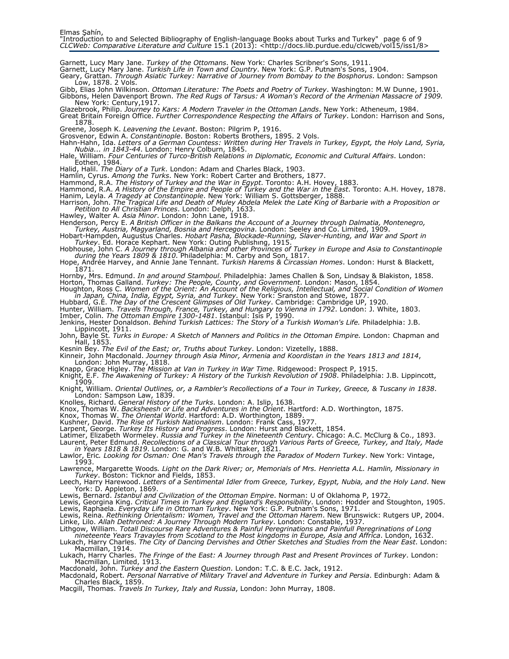Garnett, Lucy Mary Jane. *Turkey of the Ottomans*. New York: Charles Scribner's Sons, 1911.

Garnett, Lucy Mary Jane. *Turkish Life in Town and Country*. New York: G.P. Putnam's Sons, 1904.

- Geary, Grattan. Through Asiatic Turkey: Narrative of Journey from Bombay to the Bosphorus. London: Sampson Low, 1878. 2 Vols.
- Gibb, Elias John Wilkinson. *Ottoman Literature: The Poets and Poetry of Turkey*. Washington: M.W Dunne, 1901. Gibbons, Helen Davenport Brown. The Red Rugs of Tarsus: A Woman's Record of the Armenian Massacre of 1909. New York: Century,1917.
- Glazebrook, Philip. Journey to Kars: A Modern Traveler in the Ottoman Lands. New York: Atheneum, 1984.
- Great Britain Foreign Office. Further Correspondence Respecting the Affairs of Turkey. London: Harrison and Sons, 1878.
- Greene, Joseph K. Leavening the Levant. Boston: Pilgrim P, 1916.
- Grosvenor, Edwin A. Constantinople. Boston: Roberts Brothers, 1895. 2 Vols. Hahn-Hahn, Ida. Letters of a German Countess: Written during Her Travels in Turkey, Egypt, the Holy Land, Syria,
- Nubia... in 1843-44. London: Henry Colburn, 1845. Hale, William. Four Centuries of Turco-British Relations in Diplomatic, Economic and Cultural Affairs. London: Eothen, 1984.
- Halid, Halil. *The Diary of a Turk*. London: Adam and Charles Black, 1903.
- Hamlin, Cyrus. Among the Turks. New York: Robert Carter and Brothers, 1877.
- Hammond, R.A. The History of Turkey and the War in Egypt. Toronto: A.H. Hovey, 1883.
- Hammond, R.A. *A History of the Empire and People of Turkey and the War in the East*. Toronto: A.H. Hovey, 1878.<br>Hanim, Leyla. *A Tragedy at Constantinople*. New York: William S. Gottsberger, 1888.
- Harrison, John. The Tragical Life and Death of Muley Abdela Melek the Late King of Barbarie with a Proposition or
- Petition to All Christian Princes. London: Delph, 1633. Hawley, Walter A. Asia Minor. London: John Lane, 1918.
- Henderson, Percy E. A British Officer in the Balkans the Account of a Journey through Dalmatia, Montenegro,
- Turkey, Austria, Magyarland, Bosnia and Hercegovina. London: Seeley and Co. Limited, 1909. Hobart-Hampden, Augustus Charles. Hobart Pasha, Blockade-Running, Slaver-Hunting, and War and Sport in Turkey. Ed. Horace Kephart. New York: Outing Publishıng, 1915.
- Hobhouse, John C. A Journey through Albania and other Provinces of Turkey in Europe and Asia to Constantinople<br>during the Years 1809 & 1810. Philadelphia: M. Carby and Son, 1817.
- Hope, Andrée Harvey, and Annie Jane Tennant. *Turkish Harems & Circassian Homes*. London: Hurst & Blackett, 1871.
- Hornby, Mrs. Edmund. *In and around Stamboul*. Philadelphia: James Challen & Son, Lindsay & Blakiston, 1858. Horton, Thomas Galland. *Turkey: The People, County, and Government*. London: Mason, 1854.
- Houghton, Ross C. Women of the Orient: An Account of the Religious, Intellectual, and Social Condition of Women in Japan, China, India, Egypt, Syria, and Turkey. New York: Sranston and Stowe, 1877.
- Hubbard, G.E. The Day of the Crescent Glimpses of Old Turkey. Cambridge: Cambridge UP, 1920.
- Hunter, William. *Travels Through, France, Turkey, and Hungary to Vienna in 1792*. London: J. White, 1803.<br>Imber, Colin. *The Ottoman Empire 1300-1481*. Istanbul: Isis P, 1990.
- Jenkins, Hester Donaldson. *Behind Turkish Lattices: The Story of a Turkish Woman's Life.* Philadelphia: J.B. Lippincott, 1911.
- John, Bayle St. *Turks in Europe: A Sketch of Manners and Politics in the Ottoman Empire.* London: Chapman and Hall, 1853.
- Kesnin Bey. The Evil of the East; or, Truths about Turkey. London: Vizetelly, 1888.
- Kinneir, John Macdonald. Journey through Asia Minor, Armenia and Koordistan in the Years 1813 and 1814,
- London: John Murray, 1818.
- 
- Knapp, Grace Higley. *The Mission at Van in Turkey in War Time*. Ridgewood: Prospect P, 1915.<br>Knight, E.F. *The Awakening of Turkey: A History of the Turkish Revolution of 1908*. Philadelphia: J.B. Lippincott, 1909.
- Knight, William. Oriental Outlines, or, a Rambler's Recollections of a Tour in Turkey, Greece, & Tuscany in 1838. London: Sampson Law, 1839.
- Knolles, Richard. General History of the Turks. London: A. Islip, 1638.
- Knox, Thomas W. *Backsheesh or Life and Adventures in the Orient*. Hartford: A.D. Worthington, 1875.<br>Knox, Thomas W. *The Oriental World*. Hartford: A.D. Worthington, 1889.
- 
- Kushner, David. The Rise of Turkish Nationalism. London: Frank Cass, 1977.
- Larpent, George. Turkey Its History and Progress. London: Hurst and Blackett, 1854.
- Latimer, Elizabeth Wormeley. Russia and Turkey in the Nineteenth Century. Chicago: A.C. McClurg & Co., 1893.
- Laurent, Peter Edmund. Recollections of a Classical Tour through Various Parts of Greece, Turkey, and Italy, Made
- in Years 1818 & 1819. London: G. and W.B. Whittaker, 1821. Lawlor, Eric. Looking for Osman: One Man's Travels through the Paradox of Modern Turkey. New York: Vintage,  $1993.$
- Lawrence, Margarette Woods. Light on the Dark River; or, Memorials of Mrs. Henrietta A.L. Hamlin, Missionary in Turkey. Boston: Ticknor and Fields, 1853.
- Leech, Harry Harewood. Letters of a Sentimental Idler from Greece, Turkey, Egypt, Nubia, and the Holy Land. New York: D. Appleton, 1869.
- Lewis, Bernard. *Istanbul and Civilization of the Ottoman Empire*. Norman: U of Oklahoma P, 1972.
- Lewis, Georgina King. Critical Times in Turkey and England's Responsibility. London: Hodder and Stoughton, 1905. Lewis, Raphaela. Everyday Life in Ottoman Turkey. New York: G.P. Putnam's Sons, 1971.
- Lewis, Reina. Rethinking Orientalism: Women, Travel and the Ottoman Harem. New Brunswick: Rutgers UP, 2004. Linke, Lilo. Allah Dethroned: A Journey Through Modern Turkey. London: Constable, 1937.
- Lithgow, William. Totall Discourse Rare Adventures & Painful Peregrinations and Painfull Peregrinations of Long
- nineteente Years Travayles from Scotland to the Most kingdoms in Europe, Asia and Affrica. London, 1632.
- Lukach, Harry Charles. The City of Dancing Dervishes and Other Sketches and Studies from the Near East. London: Macmillan, 1914.
- Lukach, Harry Charles. The Fringe of the East: A Journey through Past and Present Provinces of Turkey. London: Macmillan, Limited, 1913.
- 
- Macdonald, John. *Turkey and the Eastern Question*. London: T.C. & E.C. Jack, 1912.<br>Macdonald, Robert. *Personal Narrative of Military Travel and Adventure in Turkey and Persia*. Edinburgh: Adam & Charles Black, 1859.
- Macgill, Thomas. Travels In Turkey, Italy and Russia, London: John Murray, 1808.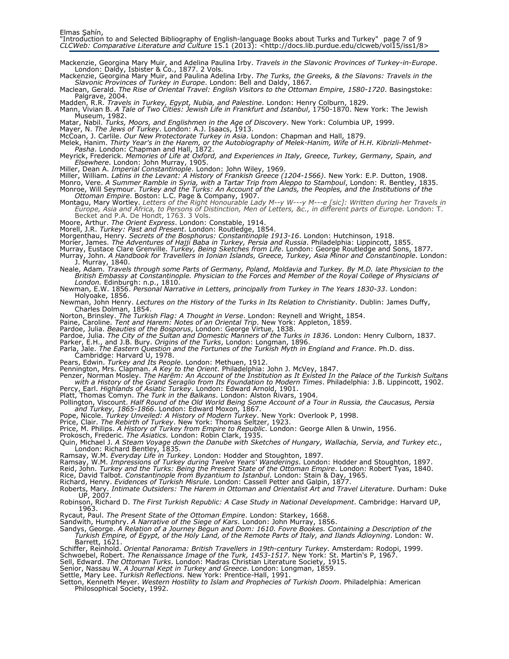Mackenzie, Georgina Mary Muir, and Adelina Paulina Irby. *Travels in the Slavonic Provinces of Turkey-in-Europe*. London: Daldy, Isbister & Co., 1877. 2 Vols.

Mackenzie, Georgina Mary Muir, and Paulina Adelina Irby. The Turks, the Greeks, & the Slavons: Travels in the Slavonic Provinces of Turkey in Europe. London: Bell and Daldy, 1867.

Maclean, Gerald. The Rise of Oriental Travel: English Visitors to the Ottoman Empire, 1580-1720. Basingstoke: Palgrave, 2004.

Madden, R.R. *Travels in Turkey, Egypt, Nubia, and Palestine*. London: Henry Colburn, 1829.

Mann, Vivian B. A Tale of Two Cities: Jewish Life in Frankfurt and Istanbul, 1750-1870. New York: The Jewish Museum, 1982.

Matar, Nabil. *Turks, Moors, and Englishmen in the Age of Discovery*. New York: Columbia UP, 1999.

Mayer, N. *The Jews of Turkey*. London: A.J. Isaacs, 1913.<br>McCoan, J. Carlile. *Our New Protectorate Turkey in Asia*. London: Chapman and Hall, 1879.

Melek, Hanim. Thirty Year's in the Harem, or the Autobiography of Melek-Hanim, Wife of H.H. Kibrizli-Mehmet-Pasha. London: Chapman and Hall, 1872.

Meyrick, Frederick. Memories of Life at Oxford, and Experiences in Italy, Greece, Turkey, Germany, Spain, and Elsewhere. London: John Murray, 1905.

Miller, Dean A. *Imperial Constantinople*. London: John Wiley, 1969.<br>Miller, William. *Latins in the Levant: A History of Frankish Greece (1204-1566)*. New York: E.P. Dutton, 1908.

Monro, Vere. A Summer Ramble in Syria, with a Tartar Trip from Aleppo to Stamboul, London: R. Bentley, 1835. Monroe, Will Seymour. Turkey and the Turks: An Account of the Lands, the Peoples, and the Institutions of the Ottoman Empire. Boston: L.C. Page & Company, 1907.

Montagu, Mary Wortley. Letters of the Right Honourable Lady M--y W---y M---e [sic]: Written during her Travels in Europe, Asia and Africa, to Persons of Distinction, Men of Letters, &c., in different parts of Europe. London: T. Becket and P.A. De Hondt, 1763. 3 Vols.

Moore, Arthur. *The Orient Express*. London: Constable, 1914.

Morell, J.R. *Turkey: Past and Present.* London: Routledge, 1854.<br>Morgenthau, Henry. *Secrets of the Bosphorus: Constantinople 1913-16*. London: Hutchinson, 1918.

Morier, James. The Adventures of Hajji Baba in Turkey, Persia and Russia. Philadelphia: Lippincott, 1855.

Murray, Eustace Clare Grenville. *Turkey, Being Sketches from Life*. London: George Routledge and Sons, 1877.

Murray, John. A Handbook for Travellers in Ionian Islands, Greece, Turkey, Asia Minor and Constantinople. London: J. Murray, 1840.

Neale, Adam. Travels through some Parts of Germany, Poland, Moldavia and Turkey. By M.D. late Physician to the British Embassy at Constantinople. Physician to the Forces and Member of the Royal College of Physicians of London. Edinburgh: n.p., 1810.

Newman, E.W. 1856. Personal Narrative in Letters, principally from Turkey in The Years 1830-33. London: Holyoake, 1856.

Newman, John Henry. Lectures on the History of the Turks in Its Relation to Christianity. Dublin: James Duffy, Charles Dolman, 1854.

Norton, Brinsley. The Turkish Flag: A Thought in Verse. London: Reynell and Wright, 1854.

Paine, Caroline. Tent and Harem: Notes of an Oriental Trip. New York: Appleton, 1859.

Pardoe, Julia. Beauties of the Bosporus, London: George Virtue, 1838.

Pardoe, Julia. The City of the Sultan and Domestic Manners of the Turks in 1836. London: Henry Culborn, 1837.

Parker, E.H., and J.B. Bury. *Origins of the Turks*, London: Longman, 1896.

Parla, Jale. The Eastern Question and the Fortunes of the Turkish Myth in England and France. Ph.D. diss. Cambridge: Harvard U, 1978.

Pears, Edwin. Turkey and Its People. London: Methuen, 1912.

Pennington, Mrs. Clapman. *A Key to the Orient.* Philadelphia: John J. McVey, 1847.<br>Penzer, Norman Mosley. *The Harēm: An Account of the Institution as It Existed In the Palace of the Turkish Sultans* with a History of the Grand Seraglio from Its Foundation to Modern Times. Philadelphia: J.B. Lippincott, 1902.

Percy, Earl. *Highlands of Asiatic Turkey*. London: Edward Arnold, 1901.<br>Platt, Thomas Comyn. *The Turk in the Balkans*. London: Alston Rivars, 1904.

Pollington, Viscount. Half Round of the Old World Being Some Account of a Tour in Russia, the Caucasus, Persia

and Turkey, 1865-1866. London: Edward Moxon, 1867. Pope, Nicole. Turkey Unveiled: A History of Modern Turkey. New York: Overlook P, 1998.

Price, Clair. The Rebirth of Turkey. New York: Thomas Seltzer, 1923.

Price, M. Philips. *A History of Turkey from Empire to Republic*. London: George Allen & Unwin, 1956.<br>Prokosch, Frederic. *The Asiatics.* London: Robin Clark, 1935.

Quin, Michael J. A Steam Voyage down the Danube with Sketches of Hungary, Wallachia, Servia, and Turkey etc., London: Richard Bentley, 1835. Ramsay, W.M. Everyday Life in Turkey. London: Hodder and Stoughton, 1897.

Ramsay, W.M. Impressions of Turkey during Twelve Years' Wanderings. London: Hodder and Stoughton, 1897.

Reid, John. Turkey and the Turks: Being the Present State of the Ottoman Empire. London: Robert Tyas, 1840.

Rice, David Talbot. Constantinople from Byzantium to Istanbul. London: Stain & Day, 1965.

Richard, Henry. Evidences of Turkish Misrule. London: Cassell Petter and Galpin, 1877.

Roberts, Mary. *Intimate Outsiders: The Harem in Ottoman and Orientalist Art and Travel Literature*. Durham: Duke<br>UP, 2007.

Robinson, Richard D. The First Turkish Republic: A Case Study in National Development. Cambridge: Harvard UP, 1963.

Rycaut, Paul. The Present State of the Ottoman Empire. London: Starkey, 1668

Sandwith, Humphry. A Narrative of the Siege of Kars. London: John Murray, 1856.

Sandys, George. A Relation of a Journey Begun and Dom: 1610. Fovre Bookes. Containing a Description of the Turkish Empire, of Egypt, of the Holy Land, of the Remote Parts of Italy, and Ilands Adioyning. London: W. Barrett, 1621.

Schiffer, Reinhold. Oriental Panorama: British Travellers in 19th-century Turkey. Amsterdam: Rodopi, 1999.

Schwoebel, Robert. The Renaissance Image of the Turk, 1453-1517. New York: St. Martin's P, 1967.

Sell, Edward. *The Ottoman Turks*. London: Madras Christian Literature Society, 1915.

Senior, Nassau W. *A Journal Kept in Turkey and Greece*. London: Longman, 1859.<br>Settle, Mary Lee. *Turkish Reflections.* New York: Prentice-Hall, 1991.

Setton, Kenneth Meyer. Western Hostility to Islam and Prophecies of Turkish Doom. Philadelphia: American Philosophical Society, 1992.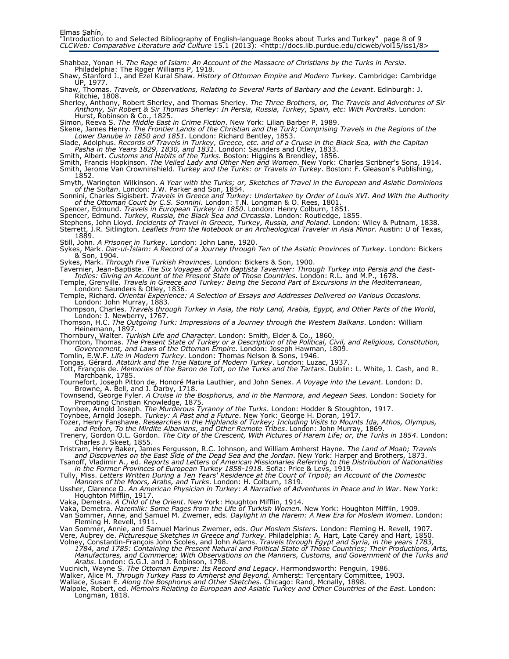Shahbaz, Yonan H. The Rage of Islam: An Account of the Massacre of Christians by the Turks in Persia. Philadelphia: The Roger Williams P, 1918.

Shaw, Stanford J., and Ezel Kural Shaw. History of Ottoman Empire and Modern Turkey. Cambridge: Cambridge UP, 1977.

Shaw, Thomas. Travels, or Observations, Relating to Several Parts of Barbary and the Levant. Edinburgh: J. Ritchie, 1808.

Sherley, Anthony, Robert Sherley, and Thomas Sherley. *The Three Brothers, or, The Travels and Adventures of Sir* Anthony, Sir Robert & Sir Thomas Sherley: In Persia, Russia, Turkey, Spain, etc: With Portraits. London: Hurst, Robinson & Co., 1825.

Simon, Reeva S. *The Middle East in Crime Fiction*. New York: Lilian Barber P, 1989.

Skene, James Henry. The Frontier Lands of the Christian and the Turk; Comprising Travels in the Regions of the Lower Danube in 1850 and 1851. London: Richard Bentley, 1853.

Slade, Adolphus. Records of Travels in Turkey, Greece, etc. and of a Cruıse in the Black Sea, with the Capitan Pasha in the Years 1829, 1830, and 1831. London: Saunders and Otley, 1833.

Smith, Albert. *Customs and Habits of the Turks*. Boston: Higgins & Brendley, 1856.

Smith, Francis Hopkinson. *The Veiled Lady and Other Men and Women*. New York: Charles Scribner's Sons, 1914. Smith, Jerome Van Crowninshield. Turkey and the Turks: or Travels in Turkey. Boston: F. Gleason's Publishing, 1852.

Smyth, Warington Wilkinson. A Year with the Turks; or, Sketches of Travel in the European and Asiatic Dominions

of the Sultan. London: J.W. Parker and Son, 1854. Sonnini, Charles Sigisbert. Travels in Greece and Turkey: Undertaken by Order of Louis XVI. And With the Authority of the Ottoman Court by C.S. Sonnini. London: T.N. Longman & O. Rees, 1801.

Spencer, Edmund. *Travels in European Turkey in 1850*. London: Henry Colburn, 1851.<br>Spencer, Edmund. *Turkey, Russia, the Black Sea and Circassia*. London: Routledge, 1855.

Stephens, John Lloyd. Incidents of Travel in Greece, Turkey, Russia, and Poland. London: Wiley & Putnam, 1838. Sterrett, J.R. Sitlington. *Leaflets from the Notebook or an Archeological Traveler in Asia Minor.* Austin: U of Texas, 1889.

Still, John. A Prisoner in Turkey. London: John Lane, 1920.

Sykes, Mark. Dar-ul-Islam: A Record of a Journey through Ten of the Asiatic Provinces of Turkey. London: Bickers & Son, 1904.

Sykes, Mark. *Through Five Turkish Provinces*. London: Bickers & Son, 1900.

Tavernier, Jean-Baptiste. The Six Voyages of John Baptista Tavernier: Through Turkey into Persia and the East-Indies: Giving an Account of the Present State of Those Countries. London: R.L. and M.P., 1678.

Temple, Grenville. Travels in Greece and Turkey: Being the Second Part of Excursions in the Mediterranean,

London: Saunders & Otley, 1836.

Temple, Richard. Oriental Experience: A Selection of Essays and Addresses Delivered on Various Occasions. London: John Murray, 1883.

Thompson, Charles. Travels through Turkey in Asia, the Holy Land, Arabia, Egypt, and Other Parts of the World, London: J. Newberry, 1767.

Thomson, H.C. The Outgoing Turk: Impressions of a Journey through the Western Balkans. London: William Heinemann, 1897.

Thornbury, Walter. Turkish Life and Character. London: Smith, Elder & Co., 1860.

Thornton, Thomas. The Present State of Turkey or a Description of the Political, Civil, and Religious, Constitution, Goverenment, and Laws of the Ottoman Empire. London: Joseph Hawman, 1809.

Tomlin, E.W.F. *Life in Modern Turkey*. London: Thomas Nelson & Sons, 1946.

Tongas, Gérard. Atatürk and the True Nature of Modern Turkey. London: Luzac, 1937. Tott, François de. Memories of the Baron de Tott, on the Turks and the Tartars. Dublin: L. White, J. Cash, and R.

Marchbank, 1785. Tournefort, Joseph Pitton de, Honoré Maria Lauthier, and John Senex. A Voyage into the Levant. London: D.

Browne, A. Bell, and J. Darby, 1718.<br>Townsend, George Fyler. *A Cruise in the Bosphorus, and in the Marmora, and Aegean Seas*. London: Society for Promoting Christian Knowledge, 1875.

Toynbee, Arnold Joseph. *The Murderous Tyranny of the Turks*. London: Hodder & Stoughton, 1917.<br>Toynbee, Arnold Joseph. *Turkey: A Past and a Future*. New York: George H. Doran, 1917.

Tozer, Henry Fanshawe. Researches in the Highlands of Turkey; Including Visits to Mounts Ida, Athos, Olympus,

and Pelton, To the Mirdite Albanians, and Other Remote Tribes. London: John Murray, 1869. Trenery, Gordon O.L. Gordon. The City of the Crescent, With Pictures of Harem Life; or, the Turks in 1854. London: Charles J. Skeet, 1855.

Tristram, Henry Baker, James Fergusson, R.C. Johnson, and William Amherst Hayne. *The Land of Moab; Travels*<br>and Discoveries on the East Side of the Dead Sea and the Jordan. New York: Harper and Brothers, 1873.

Tsanoff, Vladimir A., ed. Reports and Letters of American Missionaries Referring to the Distribution of Nationalities

in the Former Provinces of European Turkey 1858-1918. Sofia: Price & Levs, 1919. Tully, Miss. Letters Written During a Ten Years' Residence at the Court of Tripoli; an Account of the Domestic Manners of the Moors, Arabs, and Turks. London: H. Colburn, 1819.

Ussher, Clarence D. An American Physician in Turkey: A Narrative of Adventures in Peace and in War. New York: Houghton Mifflin, 1917.

Vaka, Demetra. A Child of the Orient. New York: Houghton Mifflin, 1914.

Vaka, Demetra. *Haremlik: Some Pages from the Life of Turkish Women*. New York: Houghton Mifflin, 1909.

Van Sommer, Anne, and Samuel M. Zwemer, eds. Daylight in the Harem: A New Era for Moslem Women. London: Fleming H. Revell, 1911.

Van Sommer, Annie, and Samuel Marinus Zwemer, eds. Our Moslem Sisters. London: Fleming H. Revell, 1907. Vere, Aubrey de. Picturesque Sketches in Greece and Turkey. Philadelphia: A. Hart, Late Carey and Hart, 1850.

Volney, Constantin-François John Scoles, and John Adams. Travels through Egypt and Syria, in the years 1783, 1784, and 1785: Containing the Present Natural and Political State of Those Countries; Their Productions, Arts,

Manufactures, and Commerce; With Observations on the Manners, Customs, and Government of the Turks and A*rabs*. London: G.G.J. and J. Robinson, 1798.

Vucinich, Wayne S. The Ottoman Empire: Its Record and Legacy. Harmondsworth: Penguin, 1986.

Walker, Alice M. Through Turkey Pass to Amherst and Beyond. Amherst: Tercentary Committee, 1903.

Wallace, Susan E. Along the Bosphorus and Other Sketches. Chicago: Rand, Mcnally, 1898. Walpole, Robert, ed. Memoirs Relating to European and Asiatic Turkey and Other Countries of the East. London:

Longman, 1818.